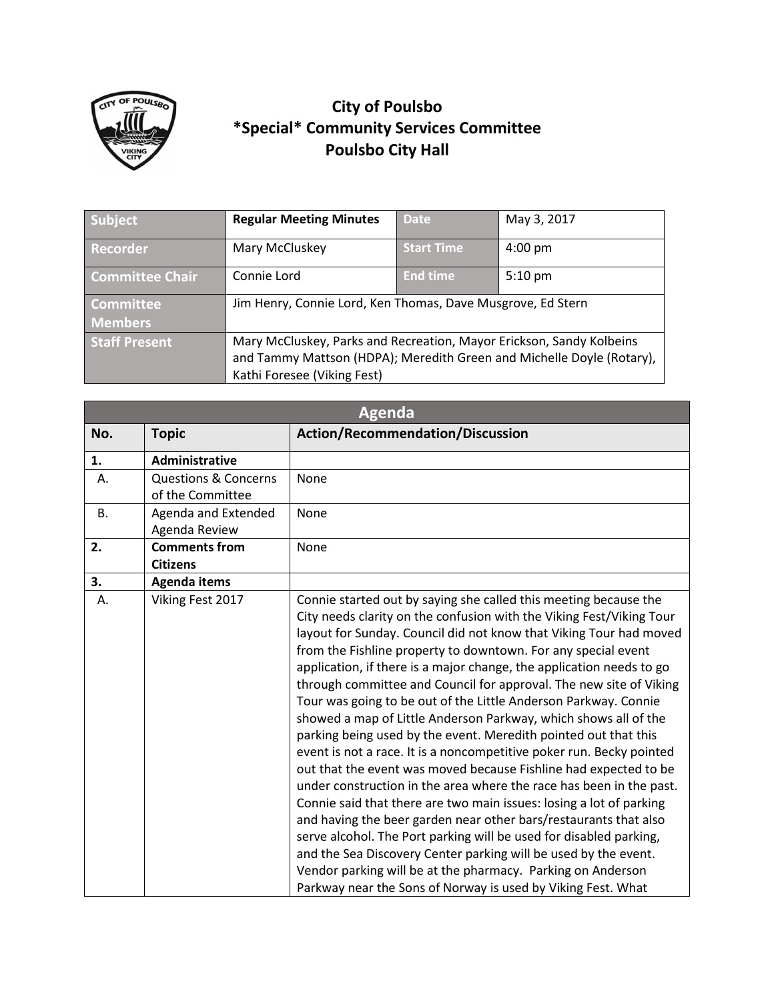

## **City of Poulsbo \*Special\* Community Services Committee Poulsbo City Hall**

| Subject                            | <b>Regular Meeting Minutes</b>                                                                                                                                               | <b>Date</b>       | May 3, 2017       |
|------------------------------------|------------------------------------------------------------------------------------------------------------------------------------------------------------------------------|-------------------|-------------------|
| Recorder                           | Mary McCluskey                                                                                                                                                               | <b>Start Time</b> | $4:00 \text{ pm}$ |
| <b>Committee Chair</b>             | Connie Lord                                                                                                                                                                  | <b>End time</b>   | $5:10 \text{ pm}$ |
| <b>Committee</b><br><b>Members</b> | Jim Henry, Connie Lord, Ken Thomas, Dave Musgrove, Ed Stern                                                                                                                  |                   |                   |
| <b>Staff Present</b>               | Mary McCluskey, Parks and Recreation, Mayor Erickson, Sandy Kolbeins<br>and Tammy Mattson (HDPA); Meredith Green and Michelle Doyle (Rotary),<br>Kathi Foresee (Viking Fest) |                   |                   |

| <b>Agenda</b> |                                                     |                                                                                                                                                                                                                                                                                                                                                                                                                                                                                                                                                                                                                                                                                                                                                                                                                                                                                                                                                                                                                                                                                                                                                                                                                                                                              |  |
|---------------|-----------------------------------------------------|------------------------------------------------------------------------------------------------------------------------------------------------------------------------------------------------------------------------------------------------------------------------------------------------------------------------------------------------------------------------------------------------------------------------------------------------------------------------------------------------------------------------------------------------------------------------------------------------------------------------------------------------------------------------------------------------------------------------------------------------------------------------------------------------------------------------------------------------------------------------------------------------------------------------------------------------------------------------------------------------------------------------------------------------------------------------------------------------------------------------------------------------------------------------------------------------------------------------------------------------------------------------------|--|
| No.           | <b>Topic</b>                                        | <b>Action/Recommendation/Discussion</b>                                                                                                                                                                                                                                                                                                                                                                                                                                                                                                                                                                                                                                                                                                                                                                                                                                                                                                                                                                                                                                                                                                                                                                                                                                      |  |
| 1.            | <b>Administrative</b>                               |                                                                                                                                                                                                                                                                                                                                                                                                                                                                                                                                                                                                                                                                                                                                                                                                                                                                                                                                                                                                                                                                                                                                                                                                                                                                              |  |
| Α.            | <b>Questions &amp; Concerns</b><br>of the Committee | None                                                                                                                                                                                                                                                                                                                                                                                                                                                                                                                                                                                                                                                                                                                                                                                                                                                                                                                                                                                                                                                                                                                                                                                                                                                                         |  |
| <b>B.</b>     | Agenda and Extended<br>Agenda Review                | <b>None</b>                                                                                                                                                                                                                                                                                                                                                                                                                                                                                                                                                                                                                                                                                                                                                                                                                                                                                                                                                                                                                                                                                                                                                                                                                                                                  |  |
| 2.            | <b>Comments from</b><br><b>Citizens</b>             | None                                                                                                                                                                                                                                                                                                                                                                                                                                                                                                                                                                                                                                                                                                                                                                                                                                                                                                                                                                                                                                                                                                                                                                                                                                                                         |  |
| 3.            | <b>Agenda items</b>                                 |                                                                                                                                                                                                                                                                                                                                                                                                                                                                                                                                                                                                                                                                                                                                                                                                                                                                                                                                                                                                                                                                                                                                                                                                                                                                              |  |
| А.            | Viking Fest 2017                                    | Connie started out by saying she called this meeting because the<br>City needs clarity on the confusion with the Viking Fest/Viking Tour<br>layout for Sunday. Council did not know that Viking Tour had moved<br>from the Fishline property to downtown. For any special event<br>application, if there is a major change, the application needs to go<br>through committee and Council for approval. The new site of Viking<br>Tour was going to be out of the Little Anderson Parkway. Connie<br>showed a map of Little Anderson Parkway, which shows all of the<br>parking being used by the event. Meredith pointed out that this<br>event is not a race. It is a noncompetitive poker run. Becky pointed<br>out that the event was moved because Fishline had expected to be<br>under construction in the area where the race has been in the past.<br>Connie said that there are two main issues: losing a lot of parking<br>and having the beer garden near other bars/restaurants that also<br>serve alcohol. The Port parking will be used for disabled parking,<br>and the Sea Discovery Center parking will be used by the event.<br>Vendor parking will be at the pharmacy. Parking on Anderson<br>Parkway near the Sons of Norway is used by Viking Fest. What |  |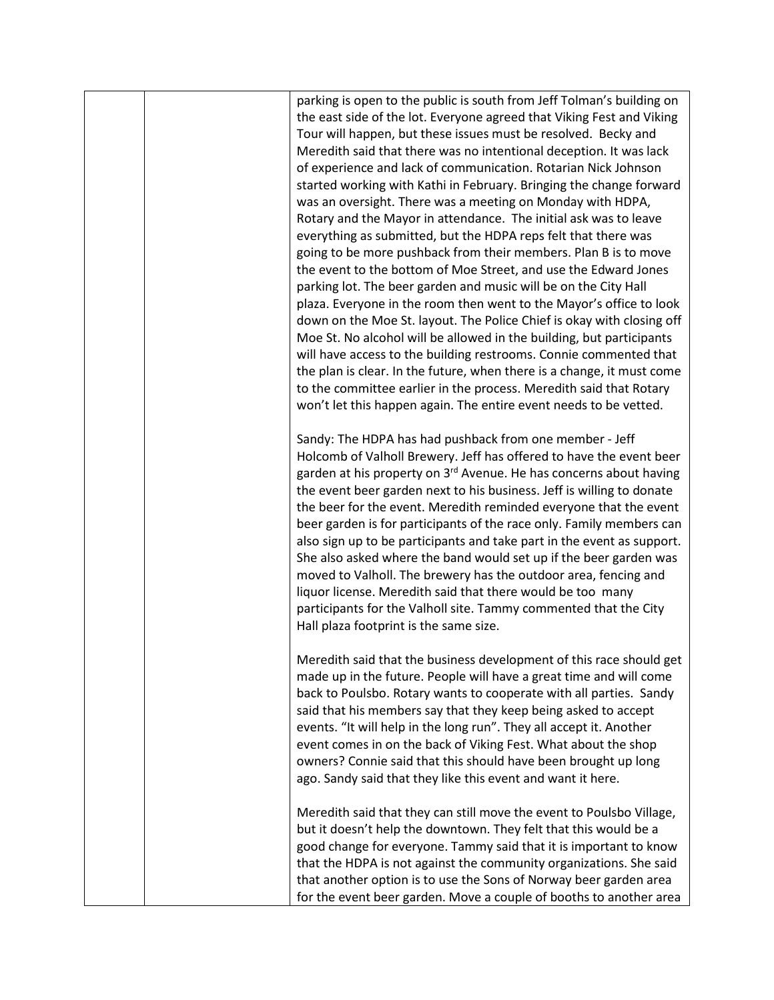parking is open to the public is south from Jeff Tolman's building on the east side of the lot. Everyone agreed that Viking Fest and Viking Tour will happen, but these issues must be resolved. Becky and Meredith said that there was no intentional deception. It was lack of experience and lack of communication. Rotarian Nick Johnson started working with Kathi in February. Bringing the change forward was an oversight. There was a meeting on Monday with HDPA, Rotary and the Mayor in attendance. The initial ask was to leave everything as submitted, but the HDPA reps felt that there was going to be more pushback from their members. Plan B is to move the event to the bottom of Moe Street, and use the Edward Jones parking lot. The beer garden and music will be on the City Hall plaza. Everyone in the room then went to the Mayor's office to look down on the Moe St. layout. The Police Chief is okay with closing off Moe St. No alcohol will be allowed in the building, but participants will have access to the building restrooms. Connie commented that the plan is clear. In the future, when there is a change, it must come to the committee earlier in the process. Meredith said that Rotary won't let this happen again. The entire event needs to be vetted.

Sandy: The HDPA has had pushback from one member - Jeff Holcomb of Valholl Brewery. Jeff has offered to have the event beer garden at his property on 3<sup>rd</sup> Avenue. He has concerns about having the event beer garden next to his business. Jeff is willing to donate the beer for the event. Meredith reminded everyone that the event beer garden is for participants of the race only. Family members can also sign up to be participants and take part in the event as support. She also asked where the band would set up if the beer garden was moved to Valholl. The brewery has the outdoor area, fencing and liquor license. Meredith said that there would be too many participants for the Valholl site. Tammy commented that the City Hall plaza footprint is the same size.

Meredith said that the business development of this race should get made up in the future. People will have a great time and will come back to Poulsbo. Rotary wants to cooperate with all parties. Sandy said that his members say that they keep being asked to accept events. "It will help in the long run". They all accept it. Another event comes in on the back of Viking Fest. What about the shop owners? Connie said that this should have been brought up long ago. Sandy said that they like this event and want it here.

Meredith said that they can still move the event to Poulsbo Village, but it doesn't help the downtown. They felt that this would be a good change for everyone. Tammy said that it is important to know that the HDPA is not against the community organizations. She said that another option is to use the Sons of Norway beer garden area for the event beer garden. Move a couple of booths to another area